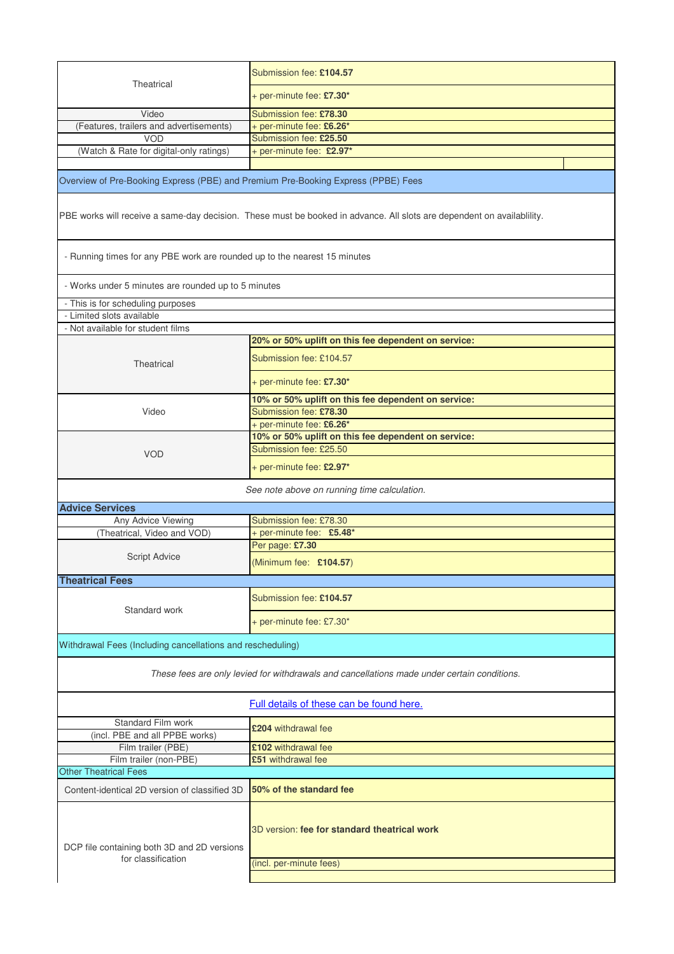| Theatrical                                                                                                            | Submission fee: £104.57                                                 |  |  |
|-----------------------------------------------------------------------------------------------------------------------|-------------------------------------------------------------------------|--|--|
|                                                                                                                       | + per-minute fee: £7.30*                                                |  |  |
| Video                                                                                                                 | Submission fee: £78.30                                                  |  |  |
| (Features, trailers and advertisements)                                                                               | + per-minute fee: £6.26*                                                |  |  |
| <b>VOD</b>                                                                                                            | Submission fee: £25.50                                                  |  |  |
| (Watch & Rate for digital-only ratings)                                                                               | + per-minute fee: £2.97*                                                |  |  |
|                                                                                                                       |                                                                         |  |  |
| Overview of Pre-Booking Express (PBE) and Premium Pre-Booking Express (PPBE) Fees                                     |                                                                         |  |  |
| PBE works will receive a same-day decision. These must be booked in advance. All slots are dependent on availability. |                                                                         |  |  |
| - Running times for any PBE work are rounded up to the nearest 15 minutes                                             |                                                                         |  |  |
| - Works under 5 minutes are rounded up to 5 minutes                                                                   |                                                                         |  |  |
| - This is for scheduling purposes                                                                                     |                                                                         |  |  |
| - Limited slots available                                                                                             |                                                                         |  |  |
| - Not available for student films                                                                                     |                                                                         |  |  |
|                                                                                                                       | 20% or 50% uplift on this fee dependent on service:                     |  |  |
| Theatrical                                                                                                            | Submission fee: £104.57                                                 |  |  |
|                                                                                                                       | + per-minute fee: £7.30*                                                |  |  |
|                                                                                                                       | 10% or 50% uplift on this fee dependent on service:                     |  |  |
| Video                                                                                                                 | Submission fee: £78.30                                                  |  |  |
|                                                                                                                       | + per-minute fee: £6.26*                                                |  |  |
|                                                                                                                       | 10% or 50% uplift on this fee dependent on service:                     |  |  |
|                                                                                                                       | Submission fee: £25.50                                                  |  |  |
| <b>VOD</b>                                                                                                            | + per-minute fee: £2.97*                                                |  |  |
| See note above on running time calculation.                                                                           |                                                                         |  |  |
| <b>Advice Services</b>                                                                                                |                                                                         |  |  |
| Any Advice Viewing                                                                                                    | Submission fee: £78.30                                                  |  |  |
| (Theatrical, Video and VOD)                                                                                           | + per-minute fee: £5.48*                                                |  |  |
|                                                                                                                       | Per page: £7.30                                                         |  |  |
| Script Advice                                                                                                         | (Minimum fee: £104.57)                                                  |  |  |
| <b>Theatrical Fees</b>                                                                                                |                                                                         |  |  |
|                                                                                                                       |                                                                         |  |  |
| Standard work                                                                                                         | Submission fee: £104.57                                                 |  |  |
|                                                                                                                       | + per-minute fee: £7.30*                                                |  |  |
| Withdrawal Fees (Including cancellations and rescheduling)                                                            |                                                                         |  |  |
| These fees are only levied for withdrawals and cancellations made under certain conditions.                           |                                                                         |  |  |
|                                                                                                                       | Full details of these can be found here.                                |  |  |
| Standard Film work<br>(incl. PBE and all PPBE works)                                                                  | £204 withdrawal fee                                                     |  |  |
| Film trailer (PBE)                                                                                                    | £102 withdrawal fee                                                     |  |  |
| Film trailer (non-PBE)                                                                                                | £51 withdrawal fee                                                      |  |  |
| <b>Other Theatrical Fees</b>                                                                                          |                                                                         |  |  |
| Content-identical 2D version of classified 3D                                                                         | 50% of the standard fee                                                 |  |  |
| DCP file containing both 3D and 2D versions<br>for classification                                                     | 3D version: fee for standard theatrical work<br>(incl. per-minute fees) |  |  |
|                                                                                                                       |                                                                         |  |  |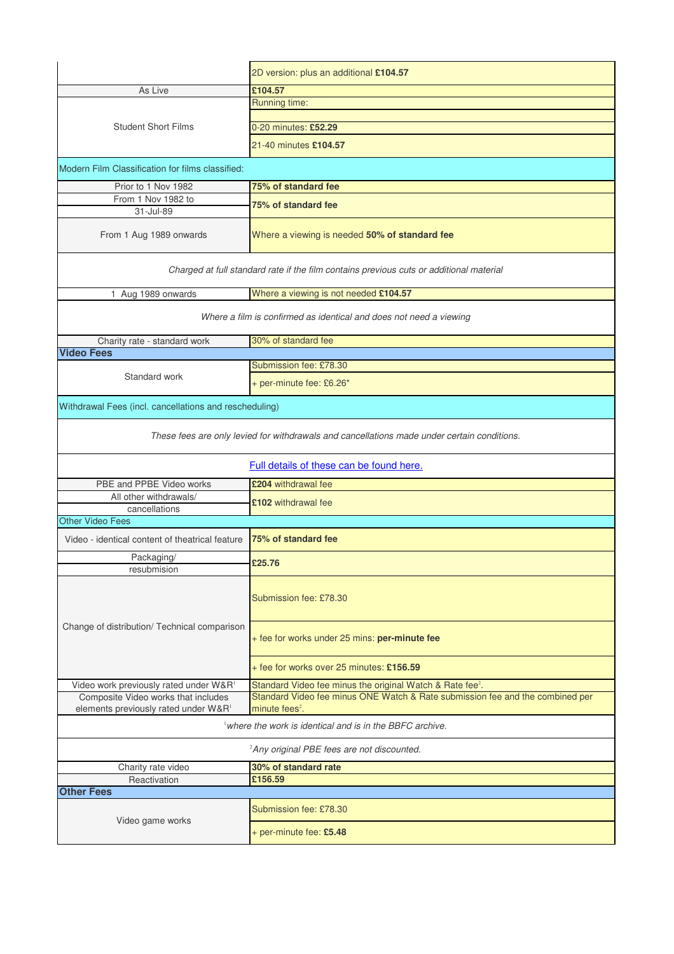|                                                                                             | 2D version: plus an additional £104.57                                                  |  |
|---------------------------------------------------------------------------------------------|-----------------------------------------------------------------------------------------|--|
| As Live                                                                                     | £104.57                                                                                 |  |
| <b>Student Short Films</b>                                                                  | Running time:                                                                           |  |
|                                                                                             |                                                                                         |  |
|                                                                                             | 0-20 minutes: £52.29                                                                    |  |
|                                                                                             | 21-40 minutes £104.57                                                                   |  |
| Modern Film Classification for films classified:                                            |                                                                                         |  |
| Prior to 1 Nov 1982                                                                         | 75% of standard fee                                                                     |  |
| From 1 Nov 1982 to<br>31-Jul-89                                                             | 75% of standard fee                                                                     |  |
| From 1 Aug 1989 onwards                                                                     | Where a viewing is needed 50% of standard fee                                           |  |
|                                                                                             | Charged at full standard rate if the film contains previous cuts or additional material |  |
| 1 Aug 1989 onwards                                                                          | Where a viewing is not needed £104.57                                                   |  |
| Where a film is confirmed as identical and does not need a viewing                          |                                                                                         |  |
| Charity rate - standard work                                                                | 30% of standard fee                                                                     |  |
| <b>Video Fees</b>                                                                           | Submission fee: £78.30                                                                  |  |
| Standard work                                                                               |                                                                                         |  |
|                                                                                             | + per-minute fee: £6.26*                                                                |  |
| Withdrawal Fees (incl. cancellations and rescheduling)                                      |                                                                                         |  |
| These fees are only levied for withdrawals and cancellations made under certain conditions. |                                                                                         |  |
|                                                                                             |                                                                                         |  |
|                                                                                             | Full details of these can be found here.                                                |  |
| PBE and PPBE Video works                                                                    | £204 withdrawal fee                                                                     |  |
| All other withdrawals/<br>cancellations                                                     | £102 withdrawal fee                                                                     |  |
| <b>Other Video Fees</b>                                                                     |                                                                                         |  |
| Video - identical content of theatrical feature                                             | 75% of standard fee                                                                     |  |
| Packaging/                                                                                  | £25.76                                                                                  |  |
| resubmision                                                                                 |                                                                                         |  |
|                                                                                             | Submission fee: £78.30                                                                  |  |
| Change of distribution/ Technical comparison                                                | + fee for works under 25 mins: per-minute fee                                           |  |
|                                                                                             | + fee for works over 25 minutes: £156.59                                                |  |
| Video work previously rated under W&R <sup>1</sup>                                          | Standard Video fee minus the original Watch & Rate fee <sup>2</sup> .                   |  |
| Composite Video works that includes                                                         | Standard Video fee minus ONE Watch & Rate submission fee and the combined per           |  |
| elements previously rated under W&R <sup>1</sup>                                            | minute fees <sup>2</sup> .<br>where the work is identical and is in the BBFC archive.   |  |
|                                                                                             | <sup>2</sup> Any original PBE fees are not discounted.                                  |  |
| Charity rate video                                                                          | 30% of standard rate                                                                    |  |
| Reactivation                                                                                | £156.59                                                                                 |  |
| <b>Other Fees</b>                                                                           |                                                                                         |  |
| Video game works                                                                            | Submission fee: £78.30                                                                  |  |